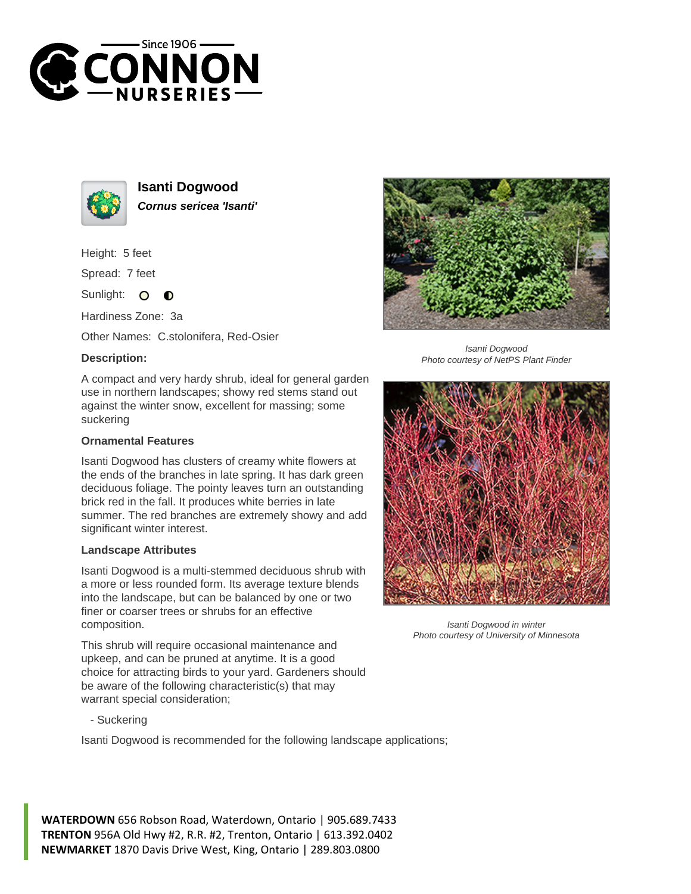



**Isanti Dogwood Cornus sericea 'Isanti'**

Height: 5 feet

Spread: 7 feet

Sunlight:  $\bullet$  $\bullet$ 

Hardiness Zone: 3a

Other Names: C.stolonifera, Red-Osier

## **Description:**

A compact and very hardy shrub, ideal for general garden use in northern landscapes; showy red stems stand out against the winter snow, excellent for massing; some suckering

## **Ornamental Features**

Isanti Dogwood has clusters of creamy white flowers at the ends of the branches in late spring. It has dark green deciduous foliage. The pointy leaves turn an outstanding brick red in the fall. It produces white berries in late summer. The red branches are extremely showy and add significant winter interest.

## **Landscape Attributes**

Isanti Dogwood is a multi-stemmed deciduous shrub with a more or less rounded form. Its average texture blends into the landscape, but can be balanced by one or two finer or coarser trees or shrubs for an effective composition.

This shrub will require occasional maintenance and upkeep, and can be pruned at anytime. It is a good choice for attracting birds to your yard. Gardeners should be aware of the following characteristic(s) that may warrant special consideration;



Isanti Dogwood is recommended for the following landscape applications;





Isanti Dogwood Photo courtesy of NetPS Plant Finder



Isanti Dogwood in winter Photo courtesy of University of Minnesota